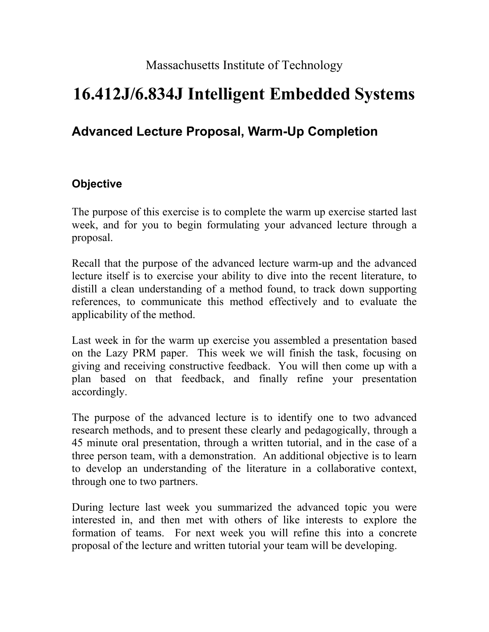Massachusetts Institute of Technology

# **16.412J/6.834J Intelligent Embedded Systems**

# **Advanced Lecture Proposal, Warm-Up Completion**

# **Objective**

The purpose of this exercise is to complete the warm up exercise started last week, and for you to begin formulating your advanced lecture through a proposal.

Recall that the purpose of the advanced lecture warm-up and the advanced lecture itself is to exercise your ability to dive into the recent literature, to distill a clean understanding of a method found, to track down supporting references, to communicate this method effectively and to evaluate the applicability of the method.

Last week in for the warm up exercise you assembled a presentation based on the Lazy PRM paper. This week we will finish the task, focusing on giving and receiving constructive feedback. You will then come up with a plan based on that feedback, and finally refine your presentation accordingly.

The purpose of the advanced lecture is to identify one to two advanced research methods, and to present these clearly and pedagogically, through a 45 minute oral presentation, through a written tutorial, and in the case of a three person team, with a demonstration. An additional objective is to learn to develop an understanding of the literature in a collaborative context, through one to two partners.

During lecture last week you summarized the advanced topic you were interested in, and then met with others of like interests to explore the formation of teams. For next week you will refine this into a concrete proposal of the lecture and written tutorial your team will be developing.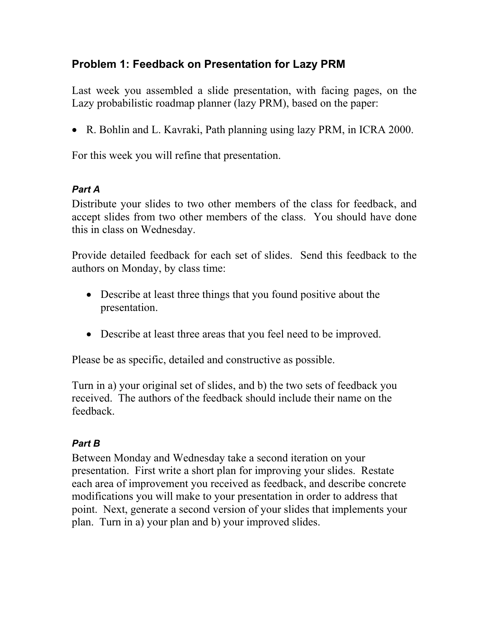# **Problem 1: Feedback on Presentation for Lazy PRM**

Last week you assembled a slide presentation, with facing pages, on the Lazy probabilistic roadmap planner (lazy PRM), based on the paper:

• R. Bohlin and L. Kavraki, Path planning using lazy PRM, in ICRA 2000.

For this week you will refine that presentation.

#### *Part A*

Distribute your slides to two other members of the class for feedback, and accept slides from two other members of the class. You should have done this in class on Wednesday.

Provide detailed feedback for each set of slides. Send this feedback to the authors on Monday, by class time:

- Describe at least three things that you found positive about the presentation.
- Describe at least three areas that you feel need to be improved.

Please be as specific, detailed and constructive as possible.

Turn in a) your original set of slides, and b) the two sets of feedback you received. The authors of the feedback should include their name on the feedback.

# *Part B*

Between Monday and Wednesday take a second iteration on your presentation. First write a short plan for improving your slides. Restate each area of improvement you received as feedback, and describe concrete modifications you will make to your presentation in order to address that point. Next, generate a second version of your slides that implements your plan. Turn in a) your plan and b) your improved slides.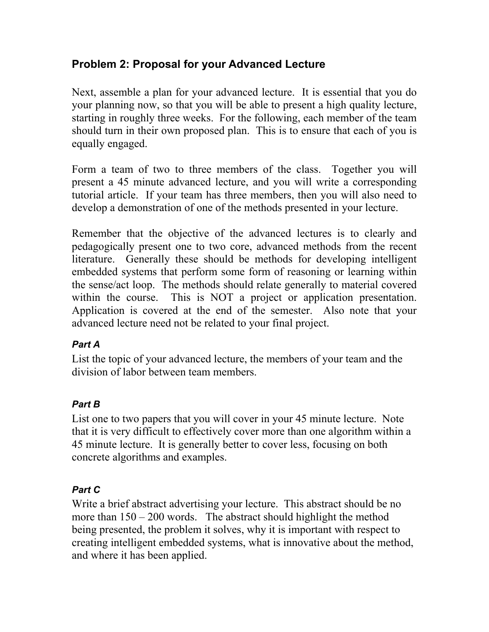# **Problem 2: Proposal for your Advanced Lecture**

Next, assemble a plan for your advanced lecture. It is essential that you do your planning now, so that you will be able to present a high quality lecture, starting in roughly three weeks. For the following, each member of the team should turn in their own proposed plan. This is to ensure that each of you is equally engaged.

Form a team of two to three members of the class. Together you will present a 45 minute advanced lecture, and you will write a corresponding tutorial article. If your team has three members, then you will also need to develop a demonstration of one of the methods presented in your lecture.

Remember that the objective of the advanced lectures is to clearly and pedagogically present one to two core, advanced methods from the recent literature. Generally these should be methods for developing intelligent embedded systems that perform some form of reasoning or learning within the sense/act loop. The methods should relate generally to material covered within the course. This is NOT a project or application presentation. Application is covered at the end of the semester. Also note that your advanced lecture need not be related to your final project.

# *Part A*

List the topic of your advanced lecture, the members of your team and the division of labor between team members.

# *Part B*

List one to two papers that you will cover in your 45 minute lecture. Note that it is very difficult to effectively cover more than one algorithm within a 45 minute lecture. It is generally better to cover less, focusing on both concrete algorithms and examples.

#### *Part C*

Write a brief abstract advertising your lecture. This abstract should be no more than  $150 - 200$  words. The abstract should highlight the method being presented, the problem it solves, why it is important with respect to creating intelligent embedded systems, what is innovative about the method, and where it has been applied.